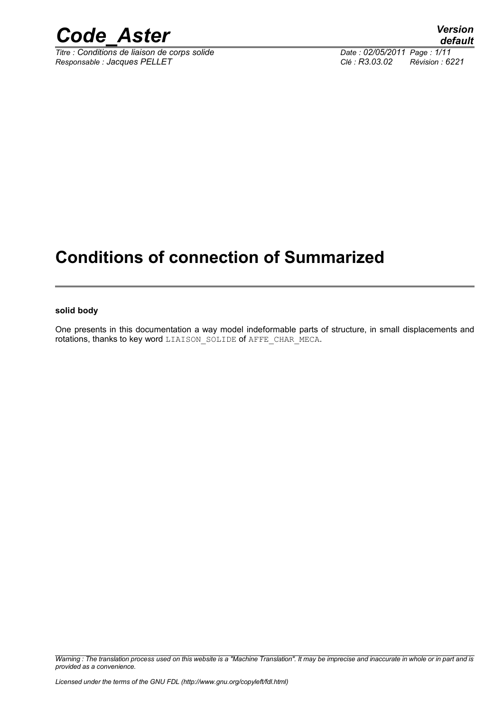

*Titre : Conditions de liaison de corps solide Date : 02/05/2011 Page : 1/11 Responsable : Jacques PELLET Clé : R3.03.02 Révision : 6221*

### **Conditions of connection of Summarized**

#### **solid body**

One presents in this documentation a way model indeformable parts of structure, in small displacements and rotations, thanks to key word LIAISON SOLIDE of AFFE CHAR MECA.

*Warning : The translation process used on this website is a "Machine Translation". It may be imprecise and inaccurate in whole or in part and is provided as a convenience.*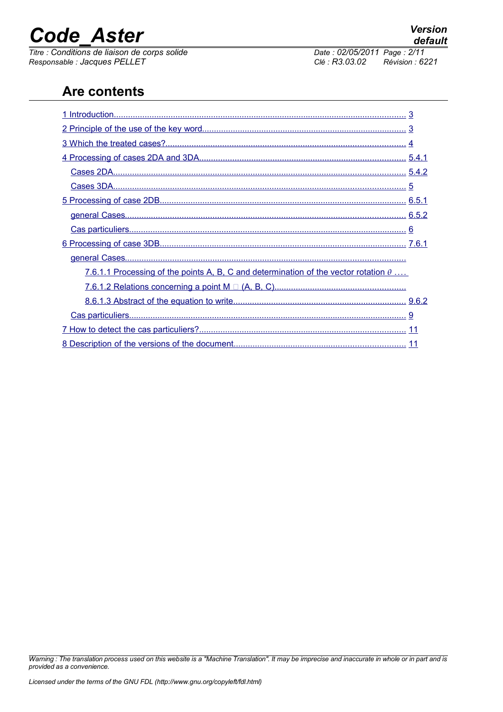*Titre : Conditions de liaison de corps solide Date : 02/05/2011 Page : 2/11*<br> *Responsable : Jacques PELLET Clé : R3.03.02 Révision : 6221 Responsable : Jacques PELLET Clé : R3.03.02 Révision : 6221*

### **Are contents**

| 7.6.1.1 Processing of the points A, B, C and determination of the vector rotation $\theta$ |  |
|--------------------------------------------------------------------------------------------|--|
|                                                                                            |  |
|                                                                                            |  |
|                                                                                            |  |
|                                                                                            |  |
|                                                                                            |  |

*Warning : The translation process used on this website is a "Machine Translation". It may be imprecise and inaccurate in whole or in part and is provided as a convenience.*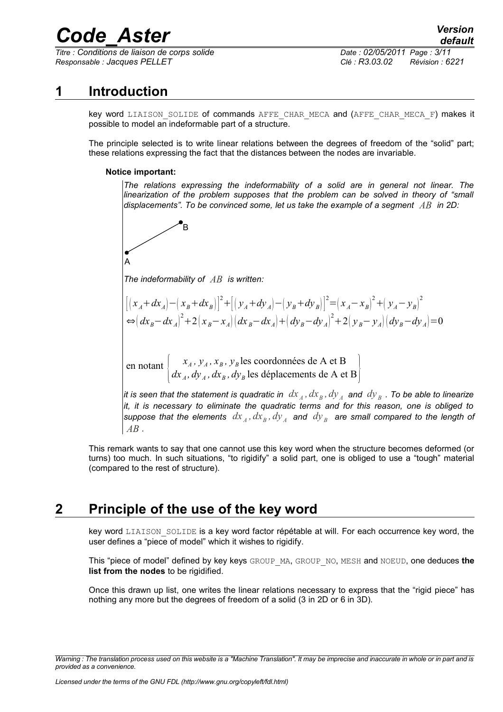*Titre : Conditions de liaison de corps solide Date : 02/05/2011 Page : 3/11 Responsable : Jacques PELLET Clé : R3.03.02 Révision : 6221*

### **1 Introduction**

<span id="page-2-0"></span>key word LIAISON SOLIDE of commands AFFE CHAR MECA and (AFFE CHAR MECA F) makes it possible to model an indeformable part of a structure.

The principle selected is to write linear relations between the degrees of freedom of the "solid" part; these relations expressing the fact that the distances between the nodes are invariable.

#### **Notice important:**

*The relations expressing the indeformability of a solid are in general not linear. The linearization of the problem supposes that the problem can be solved in theory of "small displacements". To be convinced some, let us take the example of a segment AB in 2D:*



*The indeformability of AB is written:*

B

$$
\left[ \left( x_A + dx_A \right) - \left( x_B + dx_B \right) \right]^2 + \left[ \left( y_A + dy_A \right) - \left( y_B + dy_B \right) \right]^2 = \left( x_A - x_B \right)^2 + \left( y_A - y_B \right)^2
$$
  
\n
$$
\Leftrightarrow \left( dx_B - dx_A \right)^2 + 2 \left( x_B - x_A \right) \left( dx_B - dx_A \right) + \left( dy_B - dy_A \right)^2 + 2 \left( y_B - y_A \right) \left( dy_B - dy_A \right) = 0
$$

en notant *xA , y<sup>A</sup> , x<sup>B</sup> , y<sup>B</sup>* les coordonnées de A et B  $dx_{\overline{A}}$ ,  $dy_{\overline{A}}$ ,  $dx_{\overline{B}}$ ,  $dy_{\overline{B}}$  les déplacements de A et B $\left[ \right]$ 

*it is seen that the statement is quadratic in*  $\,dx_{_A},dx_{_B},dy_{_A} \,$  *and*  $\,dy_{_B}$  *. To be able to linearize it, it is necessary to eliminate the quadratic terms and for this reason, one is obliged to* suppose that the elements  $\,dx_{\scriptscriptstyle A}$  ,  $dx_{\scriptscriptstyle B}$  ,  $dy_{\scriptscriptstyle A}$  and  $\,dy_{\scriptscriptstyle B}$  are small compared to the length of *AB .*

This remark wants to say that one cannot use this key word when the structure becomes deformed (or turns) too much. In such situations, "to rigidify" a solid part, one is obliged to use a "tough" material (compared to the rest of structure).

### **2 Principle of the use of the key word**

<span id="page-2-1"></span>key word LIAISON SOLIDE is a key word factor répétable at will. For each occurrence key word, the user defines a "piece of model" which it wishes to rigidify.

This "piece of model" defined by key keys GROUP\_MA, GROUP\_NO, MESH and NOEUD, one deduces **the list from the nodes** to be rigidified.

Once this drawn up list, one writes the linear relations necessary to express that the "rigid piece" has nothing any more but the degrees of freedom of a solid (3 in 2D or 6 in 3D).

*Warning : The translation process used on this website is a "Machine Translation". It may be imprecise and inaccurate in whole or in part and is provided as a convenience.*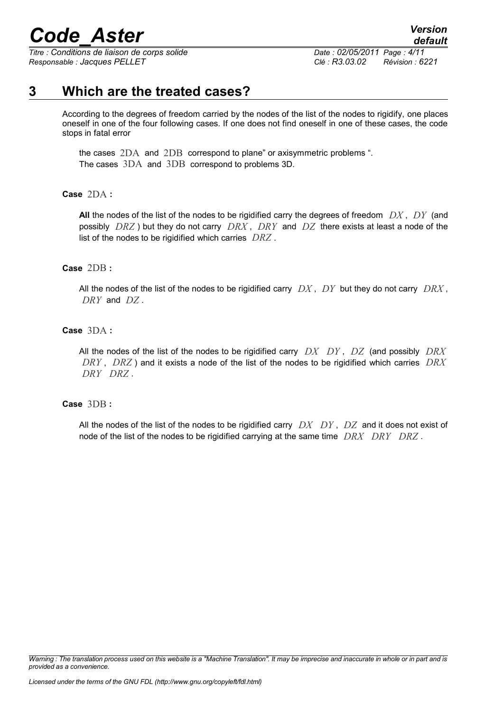*Titre : Conditions de liaison de corps solide Date : 02/05/2011 Page : 4/11 Responsable : Jacques PELLET Clé : R3.03.02 Révision : 6221*

*default*

### **3 Which are the treated cases?**

<span id="page-3-0"></span>According to the degrees of freedom carried by the nodes of the list of the nodes to rigidify, one places oneself in one of the four following cases. If one does not find oneself in one of these cases, the code stops in fatal error

the cases 2DA and 2DB correspond to plane" or axisymmetric problems ". The cases 3DA and 3DB correspond to problems 3D.

**Case** 2DA **:**

**All** the nodes of the list of the nodes to be rigidified carry the degrees of freedom *DX* , *DY* (and possibly *DRZ* ) but they do not carry *DRX* , *DRY* and *DZ* there exists at least a node of the list of the nodes to be rigidified which carries *DRZ* .

#### **Case** 2DB **:**

All the nodes of the list of the nodes to be rigidified carry *DX* , *DY* but they do not carry *DRX* , *DRY* and *DZ* .

#### **Case** 3DA **:**

All the nodes of the list of the nodes to be rigidified carry *DX DY* , *DZ* (and possibly *DRX DRY* , *DRZ* ) and it exists a node of the list of the nodes to be rigidified which carries *DRX DRY DRZ* .

#### **Case** 3DB **:**

All the nodes of the list of the nodes to be rigidified carry *DX DY* , *DZ* and it does not exist of node of the list of the nodes to be rigidified carrying at the same time *DRX DRY DRZ* .

*Warning : The translation process used on this website is a "Machine Translation". It may be imprecise and inaccurate in whole or in part and is provided as a convenience.*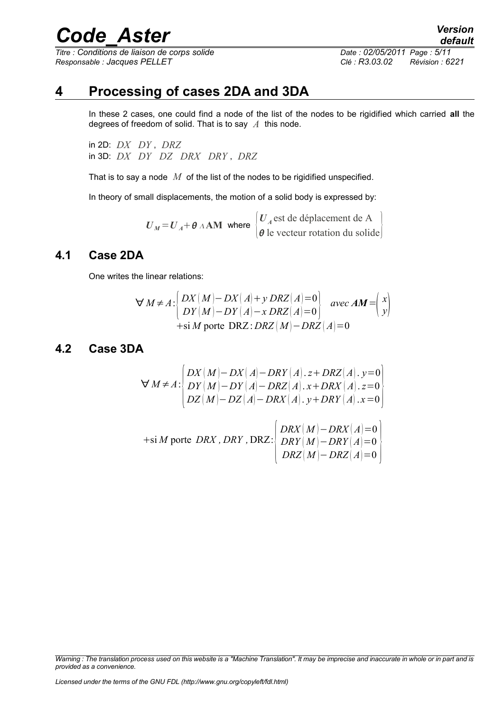*Titre : Conditions de liaison de corps solide Date : 02/05/2011 Page : 5/11 Responsable : Jacques PELLET Clé : R3.03.02 Révision : 6221*

### **4 Processing of cases 2DA and 3DA**

<span id="page-4-2"></span>In these 2 cases, one could find a node of the list of the nodes to be rigidified which carried **all** the degrees of freedom of solid. That is to say *A* this node.

in 2D: *DX DY* , *DRZ* in 3D: *DX DY DZ DRX DRY* , *DRZ*

That is to say a node *M* of the list of the nodes to be rigidified unspecified.

In theory of small displacements, the motion of a solid body is expressed by:

 $U_M = U_A + \theta \wedge AM$  where  $\begin{bmatrix} 0 \\ \theta \end{bmatrix}$ *U <sup>A</sup>* est de déplacement de A  $\theta$  le vecteur rotation du solide

#### **4.1 Case 2DA**

<span id="page-4-1"></span>One writes the linear relations:

$$
\forall M \neq A : \begin{cases} DX(M) - DX(A) + y \, DRZ(A) = 0 \\ DY(M) - DY(A) - x \, DRZ(A) = 0 \end{cases} \text{ avec } AM = \begin{pmatrix} x \\ y \end{pmatrix}
$$
  
+si M porte DRZ : DRZ(M) - DRZ(A) = 0

#### <span id="page-4-0"></span>**4.2 Case 3DA**

$$
\forall M \neq A : \begin{cases} DX(M) - DX(A) - DRY(A). z + DRZ(A). y = 0 \\ DY(M) - DY(A) - DRZ(A). x + DRX(A). z = 0 \\ DZ(M) - DZ(A) - DRX(A). y + DRY(A). x = 0 \end{cases}
$$

$$
+ \text{si } M \text{ porte } DRX, DRY, DRZ: \begin{cases} DRX(M) - DRX(A) = 0 \\ DRY(M) - DRY(A) = 0 \\ DRZ(M) - DRZ(A) = 0 \end{cases}
$$

*Warning : The translation process used on this website is a "Machine Translation". It may be imprecise and inaccurate in whole or in part and is provided as a convenience.*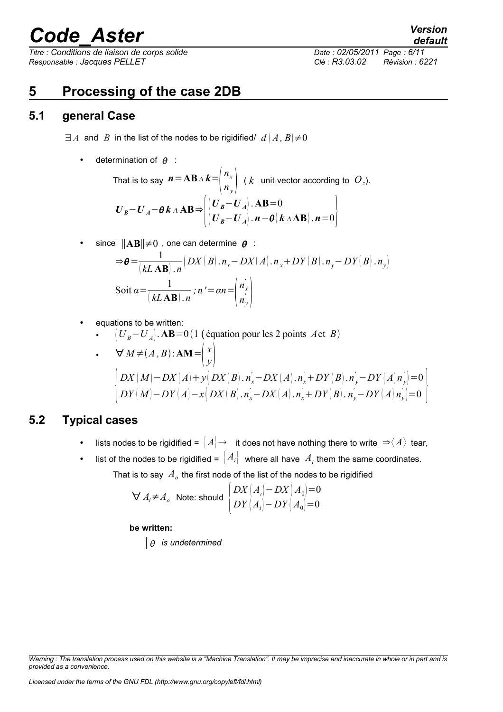*Titre : Conditions de liaison de corps solide Date : 02/05/2011 Page : 6/11 Responsable : Jacques PELLET Clé : R3.03.02 Révision : 6221*

### <span id="page-5-2"></span>**5 Processing of the case 2DB**

#### **5.1 general Case**

<span id="page-5-1"></span> $\exists A$  and *B* in the list of the nodes to be rigidified/  $d \mid A, B \mid \neq 0$ 

• determination of  $\theta$  :

That is to say 
$$
\mathbf{n} = \mathbf{AB} A \mathbf{k} = \begin{pmatrix} n_x \\ n_y \end{pmatrix}
$$
 (*k* unit vector according to  $O_z$ ).  
\n
$$
\mathbf{U}_B - \mathbf{U}_A - \theta \mathbf{k} A \mathbf{AB} \Rightarrow \begin{pmatrix} (\mathbf{U}_B - \mathbf{U}_A) \cdot \mathbf{AB} = 0 \\ (\mathbf{U}_B - \mathbf{U}_A) \cdot \mathbf{n} - \theta (\mathbf{k} A \mathbf{AB}) \cdot \mathbf{n} = 0 \end{pmatrix}
$$

• since 
$$
\|\mathbf{AB}\| \neq 0
$$
, one can determine  $\theta$  :

$$
\Rightarrow \theta = \frac{1}{(kL \mathbf{AB}) \cdot n} \left( DX(B) \cdot n_x - DX(A) \cdot n_x + DY(B) \cdot n_y - DY(B) \cdot n_y \right)
$$
  
Soit  $\alpha = \frac{1}{(kL \mathbf{AB}) \cdot n} ; n' = \alpha n = \begin{pmatrix} n'_x \\ n'_y \\ n'_y \end{pmatrix}$ 

equations to be written:

 $(U_B - U_A)$ . **AB**=0(1 (équation pour les 2 points *A* et *B*)

• 
$$
\nabla M \neq (A, B): \mathbf{AM} = \begin{pmatrix} x \\ y \end{pmatrix}
$$
  
\n
$$
\begin{cases} DX(M) - DX(A) + y(DX(B), n_x - DX(A), n_x' + DY(B), n_y' - DY(A)n_y') = 0 \\ DY(M) - DY(A) - x(DX(B), n_x' - DX(A), n_x' + DY(B), n_y' - DY(A)n_y') = 0 \end{cases}
$$

#### **5.2 Typical cases**

- <span id="page-5-0"></span>lists nodes to be rigidified =  $|A| \rightarrow$  it does not have nothing there to write  $\Rightarrow \langle A \rangle$  tear,
- list of the nodes to be rigidified =  $\left| A_i \right|$  where all have  $A_i$  them the same coordinates. That is to say  $\,A_o$  the first node of the list of the nodes to be rigidified

$$
\forall A_i \neq A_o \text{ Note: should } \begin{cases} DX(A_i) - DX(A_0) = 0 \\ DY(A_i) - DY(A_0) = 0 \end{cases}
$$

#### **be written:**

*is undetermined*

*default*

*Warning : The translation process used on this website is a "Machine Translation". It may be imprecise and inaccurate in whole or in part and is provided as a convenience.*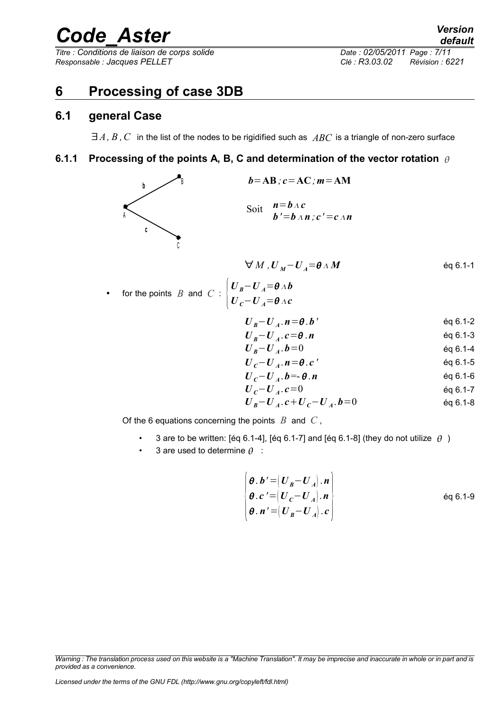*Titre : Conditions de liaison de corps solide Date : 02/05/2011 Page : 7/11 Responsable : Jacques PELLET Clé : R3.03.02 Révision : 6221*

### <span id="page-6-2"></span>**6 Processing of case 3DB**

#### **6.1 general Case**

<span id="page-6-1"></span><span id="page-6-0"></span>∃*A, B ,C* in the list of the nodes to be rigidified such as *ABC* is a triangle of non-zero surface

#### **6.1.1 Processing of the points A, B, C and determination of the vector rotation**

 $U_{B}-U_{A}=\theta_{A}b$ 



$$
\forall M, U_M - U_A = \theta \wedge M \qquad \qquad \text{Eq 6.1-1}
$$

- for the points  $B$  and  $C: \begin{bmatrix} 1 & b \\ c & d \end{bmatrix}$ 
	- $U_c U_A = \theta \wedge c$

$$
U_B - U_A \cdot n = \theta \cdot b'
$$

$$
U_B - U_A^T \cdot b = 0 \tag{6.1-4}
$$

$$
U_c-U_A.\,n=\theta.c'
$$
 \t\t\t\neq 0.1-5

$$
U_c-U_A.b=-\theta.n
$$

*U <sup>C</sup>*−*U <sup>A</sup>* . *c*=0 éq 6.1-7

$$
U_{B} - U_{A} \cdot c + U_{C} - U_{A} \cdot b = 0
$$

Of the 6 equations concerning the points *B* and *C* ,

- 3 are to be written: [éq 6.1-4], [éq 6.1-7] and [éq 6.1-8] (they do not utilize  $\theta$ )
- 3 are used to determine  $\theta$  :

$$
\begin{cases}\n\boldsymbol{\theta} \cdot \boldsymbol{b}' = (\boldsymbol{U}_B - \boldsymbol{U}_A) \cdot \boldsymbol{n} \\
\boldsymbol{\theta} \cdot \boldsymbol{c}' = (\boldsymbol{U}_C - \boldsymbol{U}_A) \cdot \boldsymbol{n} \\
\boldsymbol{\theta} \cdot \boldsymbol{n}' = (\boldsymbol{U}_B - \boldsymbol{U}_A) \cdot \boldsymbol{c}\n\end{cases}
$$
\n
$$
\text{Eq } 6.1-9
$$

*Warning : The translation process used on this website is a "Machine Translation". It may be imprecise and inaccurate in whole or in part and is provided as a convenience.*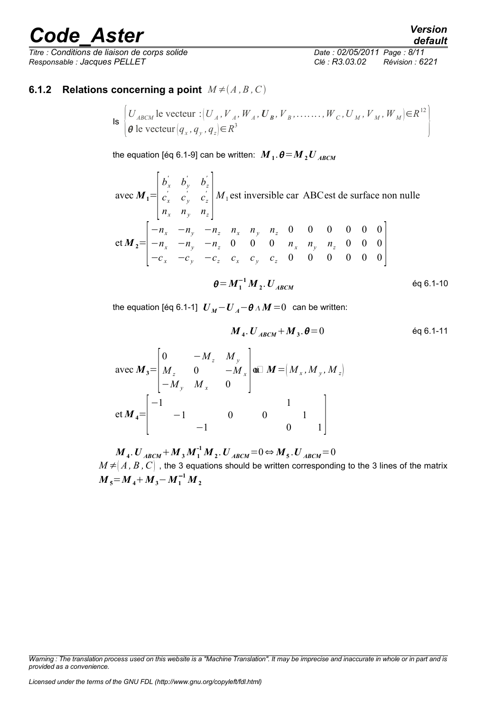*Titre : Conditions de liaison de corps solide Date : 02/05/2011 Page : 8/11 Responsable : Jacques PELLET Clé : R3.03.02 Révision : 6221*

*default*

#### <span id="page-7-0"></span>**6.1.2 Relations concerning a point**  $M \neq (A, B, C)$

$$
\text{Is } \begin{cases} U_{ABCM} \text{ le vector } : (U_A, V_A, W_A, U_B, V_B, \dots, W_C, U_M, V_M, W_M) \in R^{12} \\ \theta \text{ le vector } (q_x, q_y, q_z) \in R^3 \end{cases}
$$

the equation [éq 6.1-9] can be written:  $\boldsymbol{M}_{1}$  .  $\boldsymbol{\theta}{=}\boldsymbol{M}_{2}\boldsymbol{U}_{ABCM}$ 

avec  $M_1$ =  $\begin{bmatrix} n \\ n \end{bmatrix}$  $b'_x$   $b'_y$   $b'_z$  $c_x^{\prime}$   $c_y^{\prime}$   $c_z^{\prime}$  $\left| n_x \right| \left| n_y \right| \left| n_z \right|$  $M_1$  est inversible car ABC est de surface non nulle et  $M_{2}$ =  $\vert$   $\vert$ −*n<sup>x</sup>* −*n<sup>y</sup>* −*n<sup>z</sup> n<sup>x</sup> n<sup>y</sup> n<sup>z</sup>* 0 0 0 0 0 0 −*n<sup>x</sup>* −*n<sup>y</sup>* −*n<sup>z</sup>* 0 0 0 *n<sup>x</sup> n<sup>y</sup> n<sup>z</sup>* 0 0 0  $-c_x$  −*c<sub>y</sub>* −*c<sub>z</sub> c<sub>x</sub> c<sub>y</sub> c<sub>z</sub>* 0 0 0 0 0 0 0 **0** 

$$
\theta = M_1^{-1} M_2. U_{ABCM}
$$
 \t\t eq 6.1-10

the equation [éq 6.1-1]  $U_M - U_A - \theta \wedge M = 0$  can be written:

$$
M_4. U_{ABCM} + M_3. \theta = 0
$$
 \t\t\t\t $\text{éq } 6.1-11$ 

$$
\text{avec } M_3 = \begin{bmatrix} 0 & -M_z & M_y \\ M_z & 0 & -M_x \\ -M_y & M_x & 0 \end{bmatrix} \text{ or } M = \begin{bmatrix} M_x, M_y, M_z \end{bmatrix}
$$

$$
\text{et } M_4 = \begin{bmatrix} -1 & 0 & 0 & 1 \\ -1 & -1 & 0 & 0 \\ -1 & 0 & 0 & 1 \end{bmatrix}
$$

 $M$ <sub>4</sub>.  $U$ <sub>ABCM</sub> +  $M$ <sub>3</sub>  $M$ <sub>1</sub><sup>-1</sup>  $M$ <sub>2</sub>.  $U$ <sub>ABCM</sub> = 0  $\Leftrightarrow$   $M$ <sub>5</sub>.  $U$ <sub>ABCM</sub> = 0  $M \neq |A, B, C|$  , the 3 equations should be written corresponding to the 3 lines of the matrix  $M_{5} = M_{4} + M_{3} - M_{1}^{-1} M_{2}$ 

*Warning : The translation process used on this website is a "Machine Translation". It may be imprecise and inaccurate in whole or in part and is provided as a convenience.*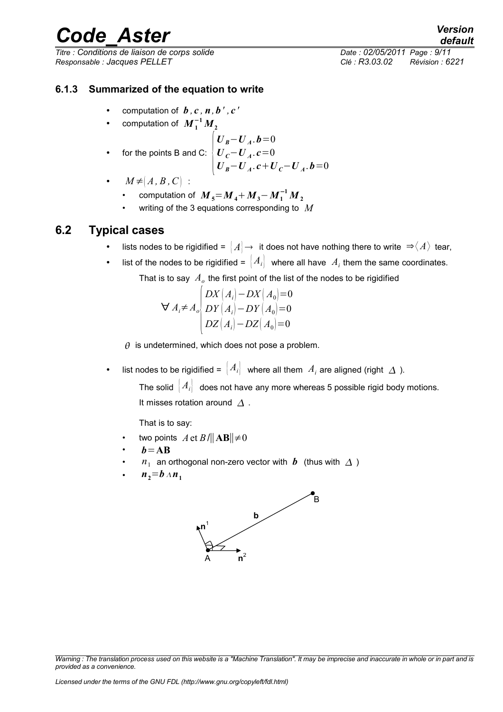*Titre : Conditions de liaison de corps solide Date : 02/05/2011 Page : 9/11 Responsable : Jacques PELLET Clé : R3.03.02 Révision : 6221*

*default*

#### **6.1.3 Summarized of the equation to write**

- <span id="page-8-1"></span>computation of  $\boldsymbol{b}$ ,  $\boldsymbol{c}$ ,  $\boldsymbol{n}$ ,  $\boldsymbol{b}'$ ,  $\boldsymbol{c}'$
- computation of  $M_1^{-1}M_2$

• for the points B and C: 
$$
\begin{cases} U_B - U_A \cdot b = 0 \\ U_C - U_A \cdot c = 0 \\ U_B - U_A \cdot c + U_C - U_A \cdot b = 0 \end{cases}
$$

- $M \neq (A, B, C)$ :
	- computation of  $\,M_{\,5}\!=\!M_{\,4}\!+\!M_{\,3}\!-\!M_{\,1}^{-1}\,M_{\,2}$
	- writing of the 3 equations corresponding to *M*

#### **6.2 Typical cases**

- <span id="page-8-0"></span>lists nodes to be rigidified =  $|A| \rightarrow$  it does not have nothing there to write  $\Rightarrow \langle A \rangle$  tear,
- list of the nodes to be rigidified =  $\big|A_i\big|$  where all have  $A_i$  them the same coordinates.

That is to say  $\,A_o\,$  the first point of the list of the nodes to be rigidified

$$
\forall A_i \neq A_o \begin{cases} DX(A_i) - DX(A_0) = 0 \\ DY(A_i) - DY(A_0) = 0 \\ DZ(A_i) - DZ(A_0) = 0 \end{cases}
$$

 $\theta$  is undetermined, which does not pose a problem.

• list nodes to be rigidified =  $\begin{bmatrix} A_i \end{bmatrix}$  where all them  $A_i$  are aligned (right  $\Delta$ ).

The solid  $\{A_i\}$  does not have any more whereas 5 possible rigid body motions. It misses rotation around  $\Lambda$ .

That is to say:

- two points  $A \text{ et } B / \|AB\| \neq 0$
- $b = AB$
- $n_1$  an orthogonal non-zero vector with  $\bm{b}$  (thus with  $\Delta$  )
- $n_2 = b \wedge n_1$



*Warning : The translation process used on this website is a "Machine Translation". It may be imprecise and inaccurate in whole or in part and is provided as a convenience.*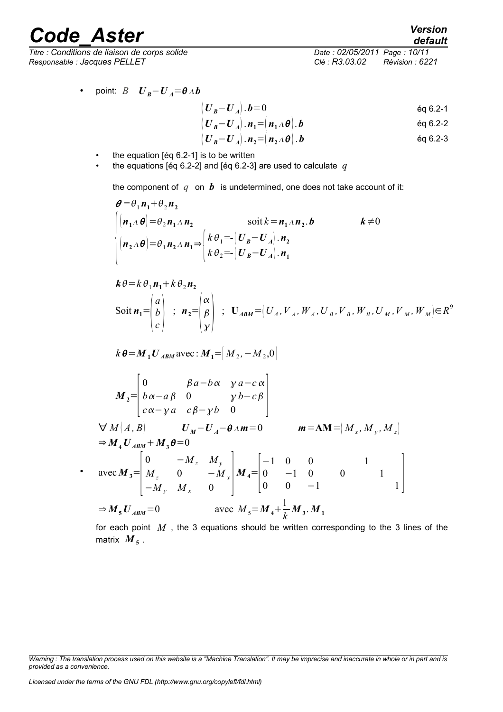•

*Titre : Conditions de liaison de corps solide Date : 02/05/2011 Page : 10/11 Responsable : Jacques PELLET Clé : R3.03.02 Révision : 6221*

• point: 
$$
B
$$
  $U_B - U_A = \theta \wedge b$ 

$$
\left(\boldsymbol{U}_{\boldsymbol{B}} - \boldsymbol{U}_{\boldsymbol{A}}\right). \boldsymbol{b} = 0 \tag{6.2-1}
$$

$$
\left(\boldsymbol{U}_{\boldsymbol{B}}\!-\!\boldsymbol{U}_{\boldsymbol{A}}\right).\boldsymbol{n}_1\!=\!\left(\boldsymbol{n}_1\!\wedge\!\boldsymbol{\theta}\right).\boldsymbol{b}\tag{60.2-2}
$$

$$
\left(\boldsymbol{U}_{\boldsymbol{B}}\!-\!\boldsymbol{U}_{\boldsymbol{A}}\right).\boldsymbol{n}_{2}\!=\!\left(\boldsymbol{n}_{2}\,\Lambda\,\boldsymbol{\theta}\right).\boldsymbol{b}\qquad\qquad\qquad\text{Eq 6.2-3}
$$

- the equation [éq 6.2-1] is to be written
- the equations [éq 6.2-2] and [éq 6.2-3] are used to calculate  $q$

the component of  $q$  on  $b$  is undetermined, one does not take account of it:

$$
\theta = \theta_1 n_1 + \theta_2 n_2
$$
  
\n
$$
\begin{cases}\n(n_1 \Delta \theta) = \theta_2 n_1 \Delta n_2 & \text{soit } k = n_1 \Delta n_2, b \\
(n_2 \Delta \theta) = \theta_1 n_2 \Delta n_1 \Rightarrow \begin{cases}\nk \theta_1 = \begin{cases}\nU_B - U_A\n\end{cases} n_2 \\
k \theta_2 = \begin{cases}\nU_B - U_A\n\end{cases} n_1\n\end{cases}
$$
\n $k \neq 0$ 

$$
\mathbf{k} \theta = k \theta_1 \mathbf{n_1} + k \theta_2 \mathbf{n_2}
$$
  
Soit  $\mathbf{n_1} = \begin{pmatrix} a \\ b \\ c \end{pmatrix}$ ;  $\mathbf{n_2} = \begin{pmatrix} \alpha \\ \beta \\ \gamma \end{pmatrix}$ ;  $\mathbf{U}_{ABM} = \begin{pmatrix} U_A, V_A, W_A, U_B, V_B, W_B, U_M, V_M, W_M \end{pmatrix} \in R^9$ 

$$
k \theta = M_1 U_{ABM}
$$
 avec :  $M_1 = [M_2, -M_2, 0]$ 

$$
M_{2} = \begin{bmatrix} 0 & \beta a - b\alpha & \gamma a - c\alpha \\ b\alpha - a\beta & 0 & \gamma b - c\beta \\ c\alpha - \gamma a & c\beta - \gamma b & 0 \end{bmatrix}
$$
\n
$$
\forall M(A, B) \qquad U_{M} - U_{A} - \theta \land m = 0 \qquad m = AM = \begin{bmatrix} M_{x}, M_{y}, M_{z} \end{bmatrix}
$$
\n
$$
\Rightarrow M_{4}U_{ABM} + M_{3}\theta = 0
$$
\n
$$
\text{avec } M_{3} = \begin{bmatrix} 0 & -M_{z} & M_{y} \\ M_{z} & 0 & -M_{x} \\ -M_{y} & M_{x} & 0 \end{bmatrix} M_{4} = \begin{bmatrix} -1 & 0 & 0 & 1 \\ 0 & -1 & 0 & 0 \\ 0 & 0 & -1 & 1 \end{bmatrix}
$$
\n
$$
\Rightarrow M_{5}U_{ABM} = 0 \qquad \text{avec } M_{5} = M_{4} + \frac{1}{k}M_{3} \cdot M_{1}
$$

for each point *M* , the 3 equations should be written corresponding to the 3 lines of the matrix  $\boldsymbol{M}_{\boldsymbol{5}}$  .

*Licensed under the terms of the GNU FDL (http://www.gnu.org/copyleft/fdl.html)*

*default*

*Warning : The translation process used on this website is a "Machine Translation". It may be imprecise and inaccurate in whole or in part and is provided as a convenience.*